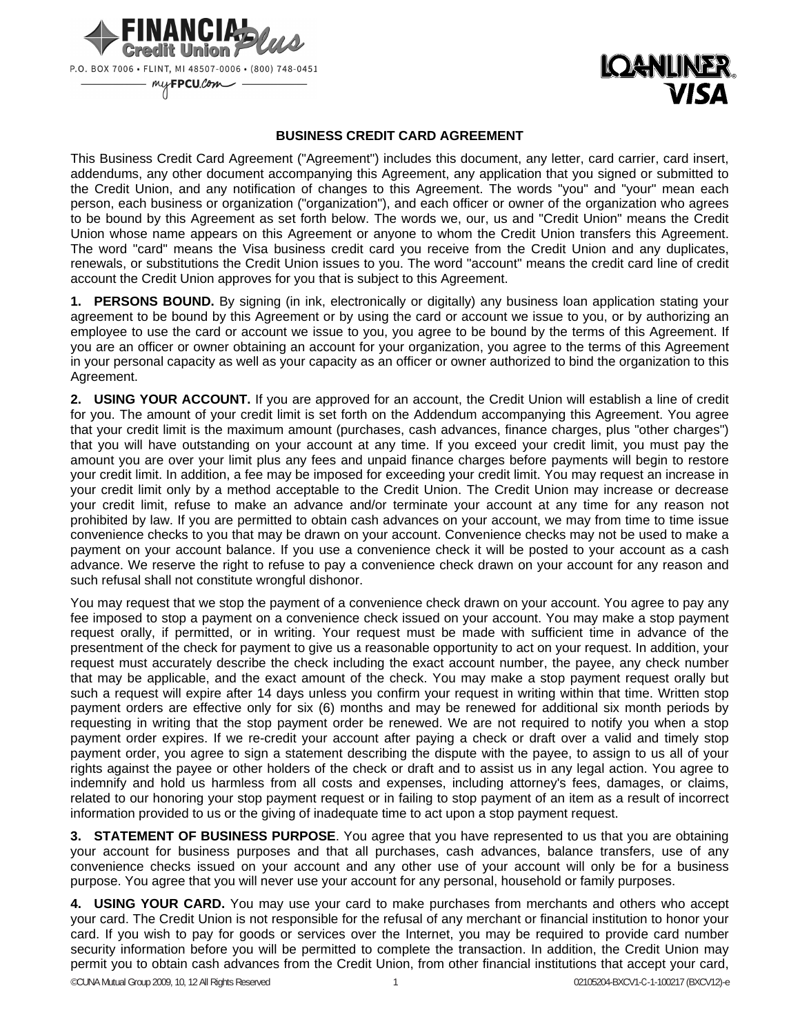



## **BUSINESS CREDIT CARD AGREEMENT**

This Business Credit Card Agreement ("Agreement") includes this document, any letter, card carrier, card insert, addendums, any other document accompanying this Agreement, any application that you signed or submitted to the Credit Union, and any notification of changes to this Agreement. The words "you" and "your" mean each person, each business or organization ("organization"), and each officer or owner of the organization who agrees to be bound by this Agreement as set forth below. The words we, our, us and "Credit Union" means the Credit Union whose name appears on this Agreement or anyone to whom the Credit Union transfers this Agreement. The word "card" means the Visa business credit card you receive from the Credit Union and any duplicates, renewals, or substitutions the Credit Union issues to you. The word "account" means the credit card line of credit account the Credit Union approves for you that is subject to this Agreement.

**1. PERSONS BOUND.** By signing (in ink, electronically or digitally) any business loan application stating your agreement to be bound by this Agreement or by using the card or account we issue to you, or by authorizing an employee to use the card or account we issue to you, you agree to be bound by the terms of this Agreement. If you are an officer or owner obtaining an account for your organization, you agree to the terms of this Agreement in your personal capacity as well as your capacity as an officer or owner authorized to bind the organization to this Agreement.

**2. USING YOUR ACCOUNT.** If you are approved for an account, the Credit Union will establish a line of credit for you. The amount of your credit limit is set forth on the Addendum accompanying this Agreement. You agree that your credit limit is the maximum amount (purchases, cash advances, finance charges, plus "other charges") that you will have outstanding on your account at any time. If you exceed your credit limit, you must pay the amount you are over your limit plus any fees and unpaid finance charges before payments will begin to restore your credit limit. In addition, a fee may be imposed for exceeding your credit limit. You may request an increase in your credit limit only by a method acceptable to the Credit Union. The Credit Union may increase or decrease your credit limit, refuse to make an advance and/or terminate your account at any time for any reason not prohibited by law. If you are permitted to obtain cash advances on your account, we may from time to time issue convenience checks to you that may be drawn on your account. Convenience checks may not be used to make a payment on your account balance. If you use a convenience check it will be posted to your account as a cash advance. We reserve the right to refuse to pay a convenience check drawn on your account for any reason and such refusal shall not constitute wrongful dishonor.

You may request that we stop the payment of a convenience check drawn on your account. You agree to pay any fee imposed to stop a payment on a convenience check issued on your account. You may make a stop payment request orally, if permitted, or in writing. Your request must be made with sufficient time in advance of the presentment of the check for payment to give us a reasonable opportunity to act on your request. In addition, your request must accurately describe the check including the exact account number, the payee, any check number that may be applicable, and the exact amount of the check. You may make a stop payment request orally but such a request will expire after 14 days unless you confirm your request in writing within that time. Written stop payment orders are effective only for six (6) months and may be renewed for additional six month periods by requesting in writing that the stop payment order be renewed. We are not required to notify you when a stop payment order expires. If we re-credit your account after paying a check or draft over a valid and timely stop payment order, you agree to sign a statement describing the dispute with the payee, to assign to us all of your rights against the payee or other holders of the check or draft and to assist us in any legal action. You agree to indemnify and hold us harmless from all costs and expenses, including attorney's fees, damages, or claims, related to our honoring your stop payment request or in failing to stop payment of an item as a result of incorrect information provided to us or the giving of inadequate time to act upon a stop payment request.

**3. STATEMENT OF BUSINESS PURPOSE**. You agree that you have represented to us that you are obtaining your account for business purposes and that all purchases, cash advances, balance transfers, use of any convenience checks issued on your account and any other use of your account will only be for a business purpose. You agree that you will never use your account for any personal, household or family purposes.

**4. USING YOUR CARD.** You may use your card to make purchases from merchants and others who accept your card. The Credit Union is not responsible for the refusal of any merchant or financial institution to honor your card. If you wish to pay for goods or services over the Internet, you may be required to provide card number security information before you will be permitted to complete the transaction. In addition, the Credit Union may permit you to obtain cash advances from the Credit Union, from other financial institutions that accept your card,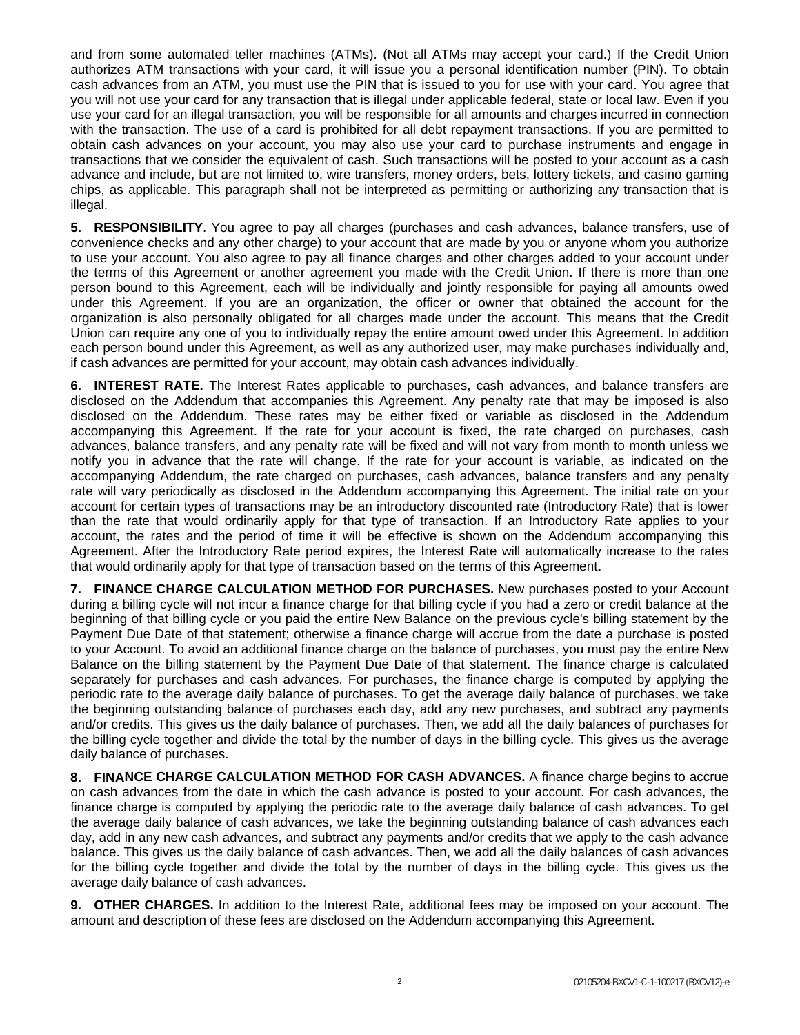and from some automated teller machines (ATMs). (Not all ATMs may accept your card.) If the Credit Union authorizes ATM transactions with your card, it will issue you a personal identification number (PIN). To obtain cash advances from an ATM, you must use the PIN that is issued to you for use with your card. You agree that you will not use your card for any transaction that is illegal under applicable federal, state or local law. Even if you use your card for an illegal transaction, you will be responsible for all amounts and charges incurred in connection with the transaction. The use of a card is prohibited for all debt repayment transactions. If you are permitted to obtain cash advances on your account, you may also use your card to purchase instruments and engage in transactions that we consider the equivalent of cash. Such transactions will be posted to your account as a cash advance and include, but are not limited to, wire transfers, money orders, bets, lottery tickets, and casino gaming chips, as applicable. This paragraph shall not be interpreted as permitting or authorizing any transaction that is illegal.

**5. RESPONSIBILITY**. You agree to pay all charges (purchases and cash advances, balance transfers, use of convenience checks and any other charge) to your account that are made by you or anyone whom you authorize to use your account. You also agree to pay all finance charges and other charges added to your account under the terms of this Agreement or another agreement you made with the Credit Union. If there is more than one person bound to this Agreement, each will be individually and jointly responsible for paying all amounts owed under this Agreement. If you are an organization, the officer or owner that obtained the account for the organization is also personally obligated for all charges made under the account. This means that the Credit Union can require any one of you to individually repay the entire amount owed under this Agreement. In addition each person bound under this Agreement, as well as any authorized user, may make purchases individually and, if cash advances are permitted for your account, may obtain cash advances individually.

**6. INTEREST RATE.** The Interest Rates applicable to purchases, cash advances, and balance transfers are disclosed on the Addendum that accompanies this Agreement. Any penalty rate that may be imposed is also disclosed on the Addendum. These rates may be either fixed or variable as disclosed in the Addendum accompanying this Agreement. If the rate for your account is fixed, the rate charged on purchases, cash advances, balance transfers, and any penalty rate will be fixed and will not vary from month to month unless we notify you in advance that the rate will change. If the rate for your account is variable, as indicated on the accompanying Addendum, the rate charged on purchases, cash advances, balance transfers and any penalty rate will vary periodically as disclosed in the Addendum accompanying this Agreement. The initial rate on your account for certain types of transactions may be an introductory discounted rate (Introductory Rate) that is lower than the rate that would ordinarily apply for that type of transaction. If an Introductory Rate applies to your account, the rates and the period of time it will be effective is shown on the Addendum accompanying this Agreement. After the Introductory Rate period expires, the Interest Rate will automatically increase to the rates that would ordinarily apply for that type of transaction based on the terms of this Agreement**.** 

**7. FINANCE CHARGE CALCULATION METHOD FOR PURCHASES.** New purchases posted to your Account during a billing cycle will not incur a finance charge for that billing cycle if you had a zero or credit balance at the beginning of that billing cycle or you paid the entire New Balance on the previous cycle's billing statement by the Payment Due Date of that statement; otherwise a finance charge will accrue from the date a purchase is posted to your Account. To avoid an additional finance charge on the balance of purchases, you must pay the entire New Balance on the billing statement by the Payment Due Date of that statement. The finance charge is calculated separately for purchases and cash advances. For purchases, the finance charge is computed by applying the periodic rate to the average daily balance of purchases. To get the average daily balance of purchases, we take the beginning outstanding balance of purchases each day, add any new purchases, and subtract any payments and/or credits. This gives us the daily balance of purchases. Then, we add all the daily balances of purchases for the billing cycle together and divide the total by the number of days in the billing cycle. This gives us the average daily balance of purchases.

**8. FINANCE CHARGE CALCULATION METHOD FOR CASH ADVANCES.** A finance charge begins to accrue on cash advances from the date in which the cash advance is posted to your account. For cash advances, the finance charge is computed by applying the periodic rate to the average daily balance of cash advances. To get the average daily balance of cash advances, we take the beginning outstanding balance of cash advances each day, add in any new cash advances, and subtract any payments and/or credits that we apply to the cash advance balance. This gives us the daily balance of cash advances. Then, we add all the daily balances of cash advances for the billing cycle together and divide the total by the number of days in the billing cycle. This gives us the average daily balance of cash advances.

**9. OTHER CHARGES.** In addition to the Interest Rate, additional fees may be imposed on your account. The amount and description of these fees are disclosed on the Addendum accompanying this Agreement.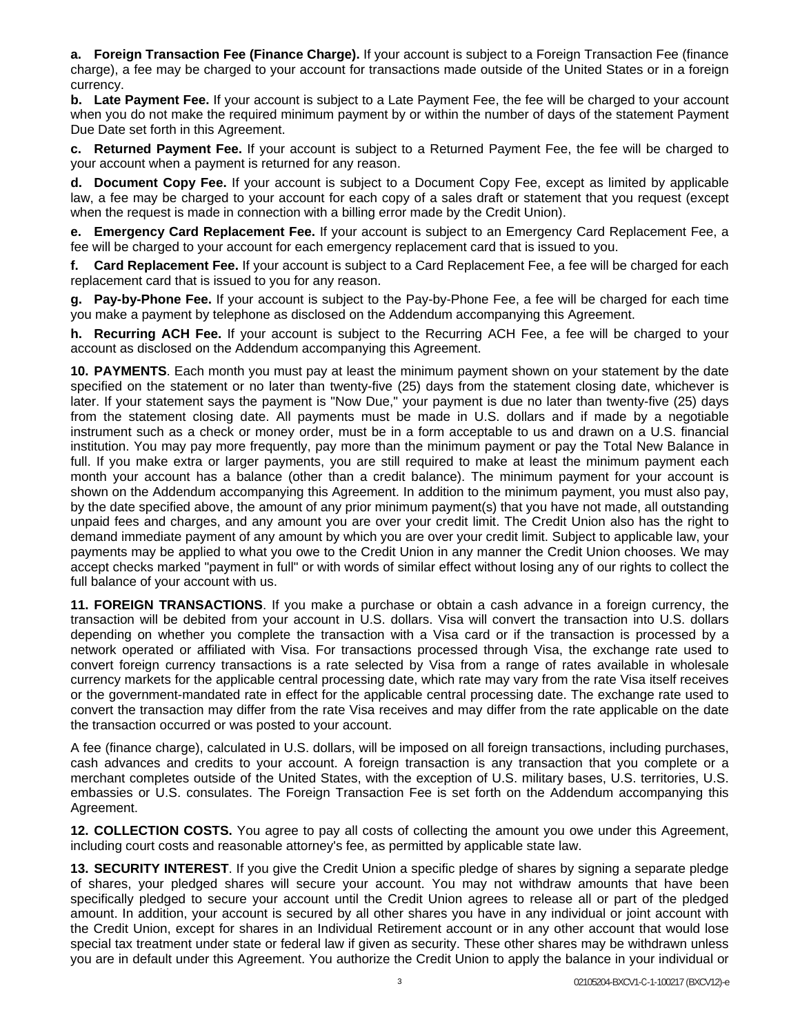**a. Foreign Transaction Fee (Finance Charge).** If your account is subject to a Foreign Transaction Fee (finance charge), a fee may be charged to your account for transactions made outside of the United States or in a foreign currency.

**b. Late Payment Fee.** If your account is subject to a Late Payment Fee, the fee will be charged to your account when you do not make the required minimum payment by or within the number of days of the statement Payment Due Date set forth in this Agreement.

**c. Returned Payment Fee.** If your account is subject to a Returned Payment Fee, the fee will be charged to your account when a payment is returned for any reason.

**d. Document Copy Fee.** If your account is subject to a Document Copy Fee, except as limited by applicable law, a fee may be charged to your account for each copy of a sales draft or statement that you request (except when the request is made in connection with a billing error made by the Credit Union).

**e. Emergency Card Replacement Fee.** If your account is subject to an Emergency Card Replacement Fee, a fee will be charged to your account for each emergency replacement card that is issued to you.

**f. Card Replacement Fee.** If your account is subject to a Card Replacement Fee, a fee will be charged for each replacement card that is issued to you for any reason.

**g. Pay-by-Phone Fee.** If your account is subject to the Pay-by-Phone Fee, a fee will be charged for each time you make a payment by telephone as disclosed on the Addendum accompanying this Agreement.

**h. Recurring ACH Fee.** If your account is subject to the Recurring ACH Fee, a fee will be charged to your account as disclosed on the Addendum accompanying this Agreement.

**10. PAYMENTS**. Each month you must pay at least the minimum payment shown on your statement by the date specified on the statement or no later than twenty-five (25) days from the statement closing date, whichever is later. If your statement says the payment is "Now Due," your payment is due no later than twenty-five (25) days from the statement closing date. All payments must be made in U.S. dollars and if made by a negotiable instrument such as a check or money order, must be in a form acceptable to us and drawn on a U.S. financial institution. You may pay more frequently, pay more than the minimum payment or pay the Total New Balance in full. If you make extra or larger payments, you are still required to make at least the minimum payment each month your account has a balance (other than a credit balance). The minimum payment for your account is shown on the Addendum accompanying this Agreement. In addition to the minimum payment, you must also pay, by the date specified above, the amount of any prior minimum payment(s) that you have not made, all outstanding unpaid fees and charges, and any amount you are over your credit limit. The Credit Union also has the right to demand immediate payment of any amount by which you are over your credit limit. Subject to applicable law, your payments may be applied to what you owe to the Credit Union in any manner the Credit Union chooses. We may accept checks marked "payment in full" or with words of similar effect without losing any of our rights to collect the full balance of your account with us.

**11. FOREIGN TRANSACTIONS**. If you make a purchase or obtain a cash advance in a foreign currency, the transaction will be debited from your account in U.S. dollars. Visa will convert the transaction into U.S. dollars depending on whether you complete the transaction with a Visa card or if the transaction is processed by a network operated or affiliated with Visa. For transactions processed through Visa, the exchange rate used to convert foreign currency transactions is a rate selected by Visa from a range of rates available in wholesale currency markets for the applicable central processing date, which rate may vary from the rate Visa itself receives or the government-mandated rate in effect for the applicable central processing date. The exchange rate used to convert the transaction may differ from the rate Visa receives and may differ from the rate applicable on the date the transaction occurred or was posted to your account.

A fee (finance charge), calculated in U.S. dollars, will be imposed on all foreign transactions, including purchases, cash advances and credits to your account. A foreign transaction is any transaction that you complete or a merchant completes outside of the United States, with the exception of U.S. military bases, U.S. territories, U.S. embassies or U.S. consulates. The Foreign Transaction Fee is set forth on the Addendum accompanying this Agreement.

**12. COLLECTION COSTS.** You agree to pay all costs of collecting the amount you owe under this Agreement, including court costs and reasonable attorney's fee, as permitted by applicable state law.

**13. SECURITY INTEREST**. If you give the Credit Union a specific pledge of shares by signing a separate pledge of shares, your pledged shares will secure your account. You may not withdraw amounts that have been specifically pledged to secure your account until the Credit Union agrees to release all or part of the pledged amount. In addition, your account is secured by all other shares you have in any individual or joint account with the Credit Union, except for shares in an Individual Retirement account or in any other account that would lose special tax treatment under state or federal law if given as security. These other shares may be withdrawn unless you are in default under this Agreement. You authorize the Credit Union to apply the balance in your individual or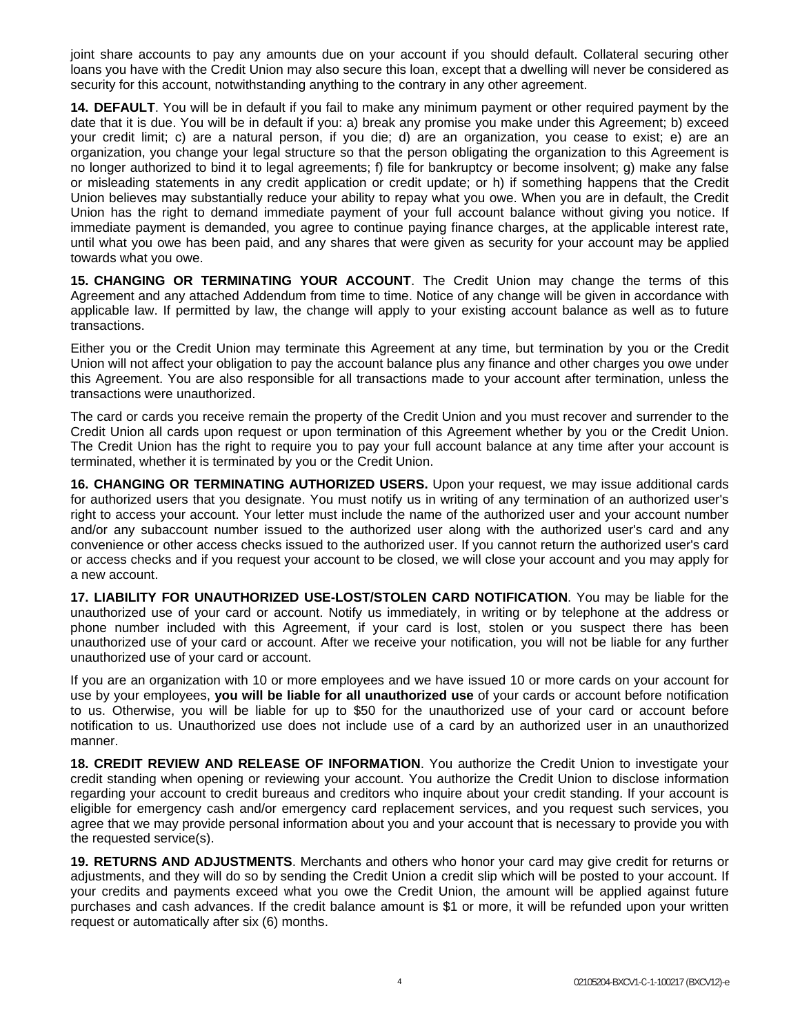joint share accounts to pay any amounts due on your account if you should default. Collateral securing other loans you have with the Credit Union may also secure this loan, except that a dwelling will never be considered as security for this account, notwithstanding anything to the contrary in any other agreement.

**14. DEFAULT**. You will be in default if you fail to make any minimum payment or other required payment by the date that it is due. You will be in default if you: a) break any promise you make under this Agreement; b) exceed your credit limit; c) are a natural person, if you die; d) are an organization, you cease to exist; e) are an organization, you change your legal structure so that the person obligating the organization to this Agreement is no longer authorized to bind it to legal agreements; f) file for bankruptcy or become insolvent; g) make any false or misleading statements in any credit application or credit update; or h) if something happens that the Credit Union believes may substantially reduce your ability to repay what you owe. When you are in default, the Credit Union has the right to demand immediate payment of your full account balance without giving you notice. If immediate payment is demanded, you agree to continue paying finance charges, at the applicable interest rate, until what you owe has been paid, and any shares that were given as security for your account may be applied towards what you owe.

**15. CHANGING OR TERMINATING YOUR ACCOUNT**. The Credit Union may change the terms of this Agreement and any attached Addendum from time to time. Notice of any change will be given in accordance with applicable law. If permitted by law, the change will apply to your existing account balance as well as to future transactions.

Either you or the Credit Union may terminate this Agreement at any time, but termination by you or the Credit Union will not affect your obligation to pay the account balance plus any finance and other charges you owe under this Agreement. You are also responsible for all transactions made to your account after termination, unless the transactions were unauthorized.

The card or cards you receive remain the property of the Credit Union and you must recover and surrender to the Credit Union all cards upon request or upon termination of this Agreement whether by you or the Credit Union. The Credit Union has the right to require you to pay your full account balance at any time after your account is terminated, whether it is terminated by you or the Credit Union.

**16. CHANGING OR TERMINATING AUTHORIZED USERS.** Upon your request, we may issue additional cards for authorized users that you designate. You must notify us in writing of any termination of an authorized user's right to access your account. Your letter must include the name of the authorized user and your account number and/or any subaccount number issued to the authorized user along with the authorized user's card and any convenience or other access checks issued to the authorized user. If you cannot return the authorized user's card or access checks and if you request your account to be closed, we will close your account and you may apply for a new account.

**17. LIABILITY FOR UNAUTHORIZED USE-LOST/STOLEN CARD NOTIFICATION**. You may be liable for the unauthorized use of your card or account. Notify us immediately, in writing or by telephone at the address or phone number included with this Agreement, if your card is lost, stolen or you suspect there has been unauthorized use of your card or account. After we receive your notification, you will not be liable for any further unauthorized use of your card or account.

If you are an organization with 10 or more employees and we have issued 10 or more cards on your account for use by your employees, **you will be liable for all unauthorized use** of your cards or account before notification to us. Otherwise, you will be liable for up to \$50 for the unauthorized use of your card or account before notification to us. Unauthorized use does not include use of a card by an authorized user in an unauthorized manner.

**18. CREDIT REVIEW AND RELEASE OF INFORMATION**. You authorize the Credit Union to investigate your credit standing when opening or reviewing your account. You authorize the Credit Union to disclose information regarding your account to credit bureaus and creditors who inquire about your credit standing. If your account is eligible for emergency cash and/or emergency card replacement services, and you request such services, you agree that we may provide personal information about you and your account that is necessary to provide you with the requested service(s).

**19. RETURNS AND ADJUSTMENTS**. Merchants and others who honor your card may give credit for returns or adjustments, and they will do so by sending the Credit Union a credit slip which will be posted to your account. If your credits and payments exceed what you owe the Credit Union, the amount will be applied against future purchases and cash advances. If the credit balance amount is \$1 or more, it will be refunded upon your written request or automatically after six (6) months.